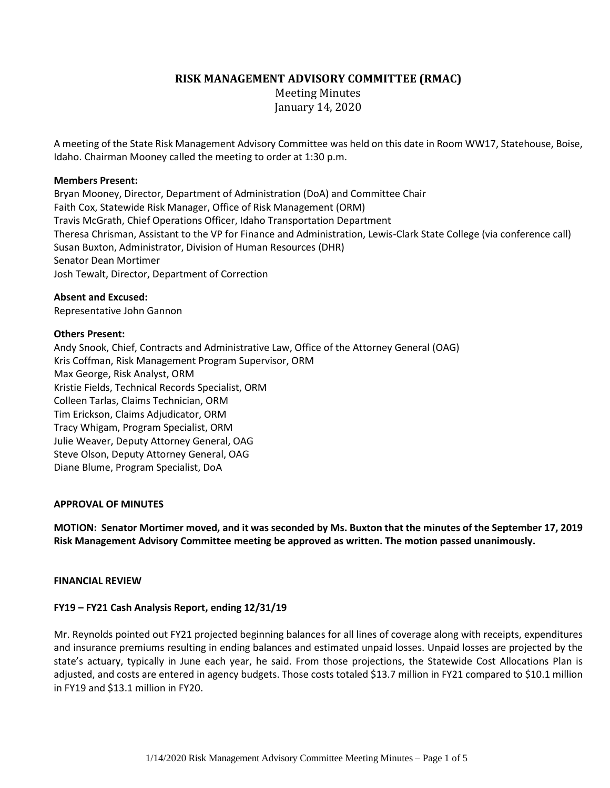**RISK MANAGEMENT ADVISORY COMMITTEE (RMAC)**

Meeting Minutes January 14, 2020

A meeting of the State Risk Management Advisory Committee was held on this date in Room WW17, Statehouse, Boise, Idaho. Chairman Mooney called the meeting to order at 1:30 p.m.

### **Members Present:**

Bryan Mooney, Director, Department of Administration (DoA) and Committee Chair Faith Cox, Statewide Risk Manager, Office of Risk Management (ORM) Travis McGrath, Chief Operations Officer, Idaho Transportation Department Theresa Chrisman, Assistant to the VP for Finance and Administration, Lewis-Clark State College (via conference call) Susan Buxton, Administrator, Division of Human Resources (DHR) Senator Dean Mortimer Josh Tewalt, Director, Department of Correction

### **Absent and Excused:**

Representative John Gannon

### **Others Present:**

Andy Snook, Chief, Contracts and Administrative Law, Office of the Attorney General (OAG) Kris Coffman, Risk Management Program Supervisor, ORM Max George, Risk Analyst, ORM Kristie Fields, Technical Records Specialist, ORM Colleen Tarlas, Claims Technician, ORM Tim Erickson, Claims Adjudicator, ORM Tracy Whigam, Program Specialist, ORM Julie Weaver, Deputy Attorney General, OAG Steve Olson, Deputy Attorney General, OAG Diane Blume, Program Specialist, DoA

#### **APPROVAL OF MINUTES**

**MOTION: Senator Mortimer moved, and it was seconded by Ms. Buxton that the minutes of the September 17, 2019 Risk Management Advisory Committee meeting be approved as written. The motion passed unanimously.**

#### **FINANCIAL REVIEW**

## **FY19 – FY21 Cash Analysis Report, ending 12/31/19**

Mr. Reynolds pointed out FY21 projected beginning balances for all lines of coverage along with receipts, expenditures and insurance premiums resulting in ending balances and estimated unpaid losses. Unpaid losses are projected by the state's actuary, typically in June each year, he said. From those projections, the Statewide Cost Allocations Plan is adjusted, and costs are entered in agency budgets. Those costs totaled \$13.7 million in FY21 compared to \$10.1 million in FY19 and \$13.1 million in FY20.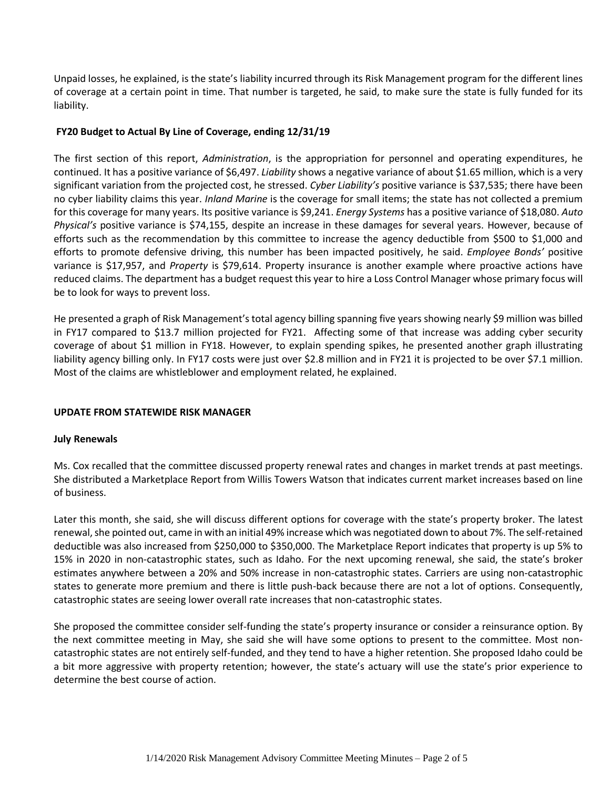Unpaid losses, he explained, is the state's liability incurred through its Risk Management program for the different lines of coverage at a certain point in time. That number is targeted, he said, to make sure the state is fully funded for its liability.

# **FY20 Budget to Actual By Line of Coverage, ending 12/31/19**

The first section of this report, *Administration*, is the appropriation for personnel and operating expenditures, he continued. It has a positive variance of \$6,497. *Liability* shows a negative variance of about \$1.65 million, which is a very significant variation from the projected cost, he stressed. *Cyber Liability's* positive variance is \$37,535; there have been no cyber liability claims this year. *Inland Marine* is the coverage for small items; the state has not collected a premium for this coverage for many years. Its positive variance is \$9,241. *Energy Systems* has a positive variance of \$18,080. *Auto Physical's* positive variance is \$74,155, despite an increase in these damages for several years. However, because of efforts such as the recommendation by this committee to increase the agency deductible from \$500 to \$1,000 and efforts to promote defensive driving, this number has been impacted positively, he said. *Employee Bonds'* positive variance is \$17,957, and *Property* is \$79,614. Property insurance is another example where proactive actions have reduced claims. The department has a budget request this year to hire a Loss Control Manager whose primary focus will be to look for ways to prevent loss.

He presented a graph of Risk Management'stotal agency billing spanning five years showing nearly \$9 million was billed in FY17 compared to \$13.7 million projected for FY21. Affecting some of that increase was adding cyber security coverage of about \$1 million in FY18. However, to explain spending spikes, he presented another graph illustrating liability agency billing only. In FY17 costs were just over \$2.8 million and in FY21 it is projected to be over \$7.1 million. Most of the claims are whistleblower and employment related, he explained.

## **UPDATE FROM STATEWIDE RISK MANAGER**

## **July Renewals**

Ms. Cox recalled that the committee discussed property renewal rates and changes in market trends at past meetings. She distributed a Marketplace Report from Willis Towers Watson that indicates current market increases based on line of business.

Later this month, she said, she will discuss different options for coverage with the state's property broker. The latest renewal, she pointed out, came in with an initial 49% increase which was negotiated down to about 7%. The self-retained deductible was also increased from \$250,000 to \$350,000. The Marketplace Report indicates that property is up 5% to 15% in 2020 in non-catastrophic states, such as Idaho. For the next upcoming renewal, she said, the state's broker estimates anywhere between a 20% and 50% increase in non-catastrophic states. Carriers are using non-catastrophic states to generate more premium and there is little push-back because there are not a lot of options. Consequently, catastrophic states are seeing lower overall rate increases that non-catastrophic states.

She proposed the committee consider self-funding the state's property insurance or consider a reinsurance option. By the next committee meeting in May, she said she will have some options to present to the committee. Most noncatastrophic states are not entirely self-funded, and they tend to have a higher retention. She proposed Idaho could be a bit more aggressive with property retention; however, the state's actuary will use the state's prior experience to determine the best course of action.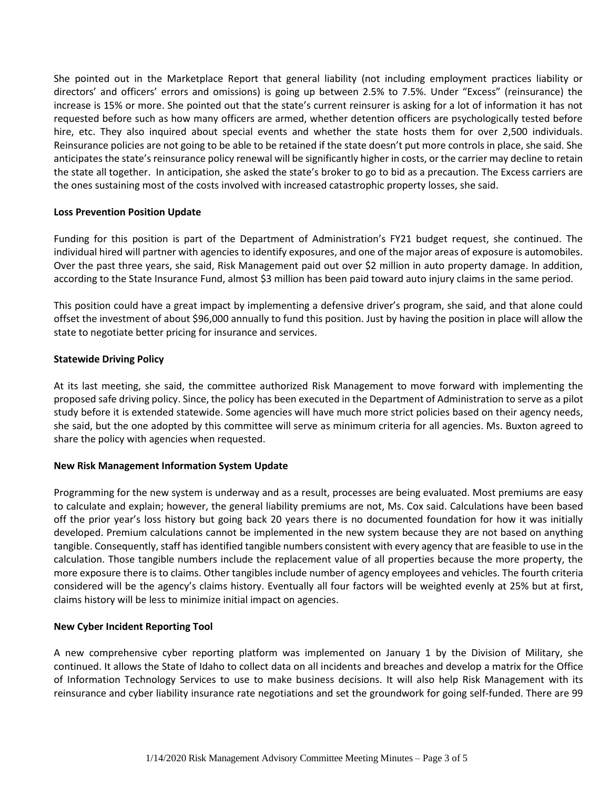She pointed out in the Marketplace Report that general liability (not including employment practices liability or directors' and officers' errors and omissions) is going up between 2.5% to 7.5%. Under "Excess" (reinsurance) the increase is 15% or more. She pointed out that the state's current reinsurer is asking for a lot of information it has not requested before such as how many officers are armed, whether detention officers are psychologically tested before hire, etc. They also inquired about special events and whether the state hosts them for over 2,500 individuals. Reinsurance policies are not going to be able to be retained if the state doesn't put more controls in place, she said. She anticipates the state's reinsurance policy renewal will be significantly higher in costs, or the carrier may decline to retain the state all together. In anticipation, she asked the state's broker to go to bid as a precaution. The Excess carriers are the ones sustaining most of the costs involved with increased catastrophic property losses, she said.

### **Loss Prevention Position Update**

Funding for this position is part of the Department of Administration's FY21 budget request, she continued. The individual hired will partner with agencies to identify exposures, and one of the major areas of exposure is automobiles. Over the past three years, she said, Risk Management paid out over \$2 million in auto property damage. In addition, according to the State Insurance Fund, almost \$3 million has been paid toward auto injury claims in the same period.

This position could have a great impact by implementing a defensive driver's program, she said, and that alone could offset the investment of about \$96,000 annually to fund this position. Just by having the position in place will allow the state to negotiate better pricing for insurance and services.

### **Statewide Driving Policy**

At its last meeting, she said, the committee authorized Risk Management to move forward with implementing the proposed safe driving policy. Since, the policy has been executed in the Department of Administration to serve as a pilot study before it is extended statewide. Some agencies will have much more strict policies based on their agency needs, she said, but the one adopted by this committee will serve as minimum criteria for all agencies. Ms. Buxton agreed to share the policy with agencies when requested.

## **New Risk Management Information System Update**

Programming for the new system is underway and as a result, processes are being evaluated. Most premiums are easy to calculate and explain; however, the general liability premiums are not, Ms. Cox said. Calculations have been based off the prior year's loss history but going back 20 years there is no documented foundation for how it was initially developed. Premium calculations cannot be implemented in the new system because they are not based on anything tangible. Consequently, staff has identified tangible numbers consistent with every agency that are feasible to use in the calculation. Those tangible numbers include the replacement value of all properties because the more property, the more exposure there is to claims. Other tangibles include number of agency employees and vehicles. The fourth criteria considered will be the agency's claims history. Eventually all four factors will be weighted evenly at 25% but at first, claims history will be less to minimize initial impact on agencies.

## **New Cyber Incident Reporting Tool**

A new comprehensive cyber reporting platform was implemented on January 1 by the Division of Military, she continued. It allows the State of Idaho to collect data on all incidents and breaches and develop a matrix for the Office of Information Technology Services to use to make business decisions. It will also help Risk Management with its reinsurance and cyber liability insurance rate negotiations and set the groundwork for going self-funded. There are 99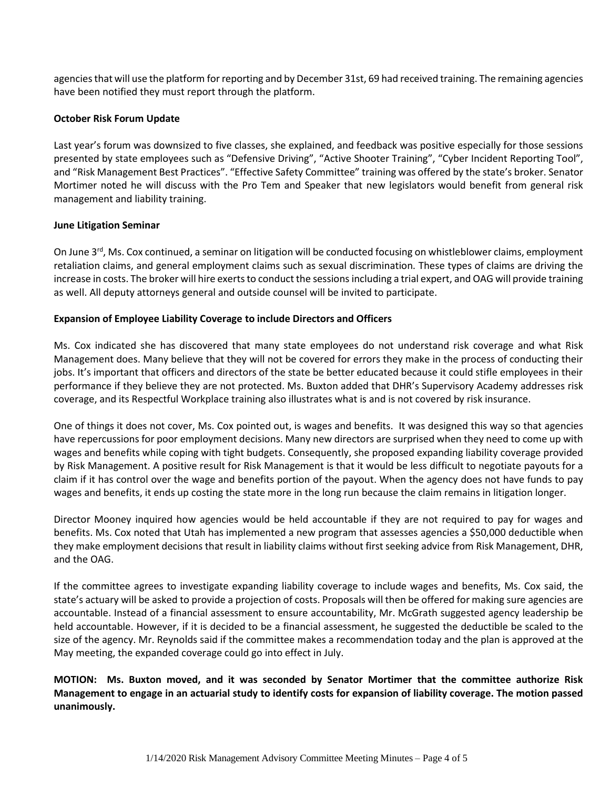agencies that will use the platform for reporting and by December 31st, 69 had received training. The remaining agencies have been notified they must report through the platform.

## **October Risk Forum Update**

Last year's forum was downsized to five classes, she explained, and feedback was positive especially for those sessions presented by state employees such as "Defensive Driving", "Active Shooter Training", "Cyber Incident Reporting Tool", and "Risk Management Best Practices". "Effective Safety Committee" training was offered by the state's broker. Senator Mortimer noted he will discuss with the Pro Tem and Speaker that new legislators would benefit from general risk management and liability training.

### **June Litigation Seminar**

On June 3<sup>rd</sup>, Ms. Cox continued, a seminar on litigation will be conducted focusing on whistleblower claims, employment retaliation claims, and general employment claims such as sexual discrimination. These types of claims are driving the increase in costs. The broker will hire exerts to conduct the sessions including a trial expert, and OAG will provide training as well. All deputy attorneys general and outside counsel will be invited to participate.

## **Expansion of Employee Liability Coverage to include Directors and Officers**

Ms. Cox indicated she has discovered that many state employees do not understand risk coverage and what Risk Management does. Many believe that they will not be covered for errors they make in the process of conducting their jobs. It's important that officers and directors of the state be better educated because it could stifle employees in their performance if they believe they are not protected. Ms. Buxton added that DHR's Supervisory Academy addresses risk coverage, and its Respectful Workplace training also illustrates what is and is not covered by risk insurance.

One of things it does not cover, Ms. Cox pointed out, is wages and benefits. It was designed this way so that agencies have repercussions for poor employment decisions. Many new directors are surprised when they need to come up with wages and benefits while coping with tight budgets. Consequently, she proposed expanding liability coverage provided by Risk Management. A positive result for Risk Management is that it would be less difficult to negotiate payouts for a claim if it has control over the wage and benefits portion of the payout. When the agency does not have funds to pay wages and benefits, it ends up costing the state more in the long run because the claim remains in litigation longer.

Director Mooney inquired how agencies would be held accountable if they are not required to pay for wages and benefits. Ms. Cox noted that Utah has implemented a new program that assesses agencies a \$50,000 deductible when they make employment decisions that result in liability claims without first seeking advice from Risk Management, DHR, and the OAG.

If the committee agrees to investigate expanding liability coverage to include wages and benefits, Ms. Cox said, the state's actuary will be asked to provide a projection of costs. Proposals will then be offered for making sure agencies are accountable. Instead of a financial assessment to ensure accountability, Mr. McGrath suggested agency leadership be held accountable. However, if it is decided to be a financial assessment, he suggested the deductible be scaled to the size of the agency. Mr. Reynolds said if the committee makes a recommendation today and the plan is approved at the May meeting, the expanded coverage could go into effect in July.

**MOTION: Ms. Buxton moved, and it was seconded by Senator Mortimer that the committee authorize Risk Management to engage in an actuarial study to identify costs for expansion of liability coverage. The motion passed unanimously.**